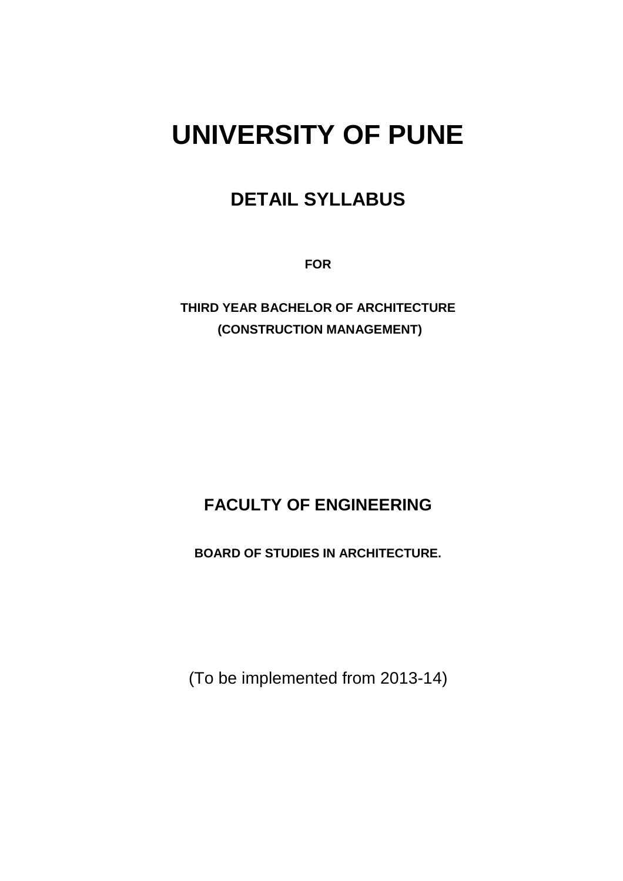# **UNIVERSITY OF PUNE**

# **DETAIL SYLLABUS**

**FOR** 

**THIRD YEAR BACHELOR OF ARCHITECTURE (CONSTRUCTION MANAGEMENT)** 

# **FACULTY OF ENGINEERING**

**BOARD OF STUDIES IN ARCHITECTURE.** 

(To be implemented from 2013-14)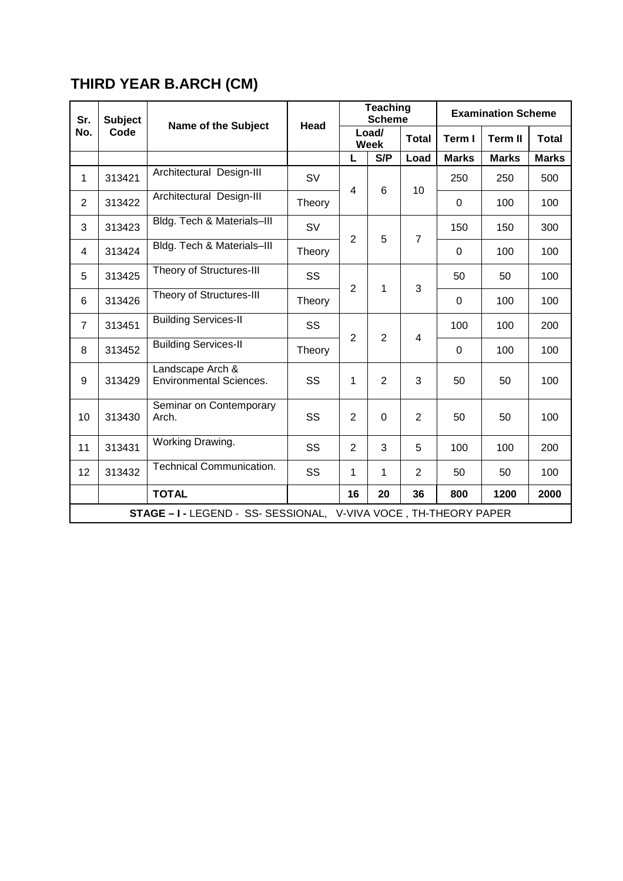# **THIRD YEAR B.ARCH (CM)**

| Sr.            | <b>Subject</b>                                                   |                                                    |           |                | <b>Teaching</b><br><b>Scheme</b> |                | <b>Examination Scheme</b> |                |              |
|----------------|------------------------------------------------------------------|----------------------------------------------------|-----------|----------------|----------------------------------|----------------|---------------------------|----------------|--------------|
| No.            | Code                                                             | <b>Name of the Subject</b>                         | Head      | Load/<br>Week  |                                  | <b>Total</b>   | Term I                    | <b>Term II</b> | <b>Total</b> |
|                |                                                                  |                                                    |           | L              | S/P                              | Load           | <b>Marks</b>              | <b>Marks</b>   | <b>Marks</b> |
| $\mathbf{1}$   | 313421                                                           | Architectural Design-III                           | <b>SV</b> | $\overline{4}$ |                                  |                | 250                       | 250            | 500          |
| $\overline{2}$ | 313422                                                           | Architectural Design-III                           | Theory    |                | 6                                | 10             | $\mathbf 0$               | 100            | 100          |
| 3              | 313423                                                           | Bldg. Tech & Materials-III                         | <b>SV</b> | $\overline{2}$ | 5                                |                | 150                       | 150            | 300          |
| 4              | 313424                                                           | Bldg. Tech & Materials-III                         | Theory    |                |                                  | $\overline{7}$ | 0                         | 100            | 100          |
| 5              | 313425                                                           | Theory of Structures-III                           | SS        | $\overline{2}$ | 1                                |                | 50                        | 50             | 100          |
| 6              | 313426                                                           | Theory of Structures-III                           | Theory    |                |                                  | 3              | 0                         | 100            | 100          |
| $\overline{7}$ | 313451                                                           | <b>Building Services-II</b>                        | SS        |                |                                  |                | 100                       | 100            | 200          |
| 8              | 313452                                                           | <b>Building Services-II</b>                        | Theory    | $\overline{2}$ | $\overline{2}$                   | 4              | $\Omega$                  | 100            | 100          |
| 9              | 313429                                                           | Landscape Arch &<br><b>Environmental Sciences.</b> | SS        | 1              | $\overline{2}$                   | 3              | 50                        | 50             | 100          |
| 10             | 313430                                                           | Seminar on Contemporary<br>Arch.                   | SS        | $\overline{2}$ | $\overline{0}$                   | $\overline{2}$ | 50                        | 50             | 100          |
| 11             | 313431                                                           | Working Drawing.                                   | SS        | $\overline{2}$ | 3                                | 5              | 100                       | 100            | 200          |
| 12             | 313432                                                           | <b>Technical Communication.</b>                    | SS        | 1              | $\mathbf{1}$                     | $\overline{2}$ | 50                        | 50             | 100          |
|                |                                                                  | <b>TOTAL</b>                                       | 16        | 20             | 36                               | 800            | 1200                      | 2000           |              |
|                | STAGE - I - LEGEND - SS- SESSIONAL, V-VIVA VOCE, TH-THEORY PAPER |                                                    |           |                |                                  |                |                           |                |              |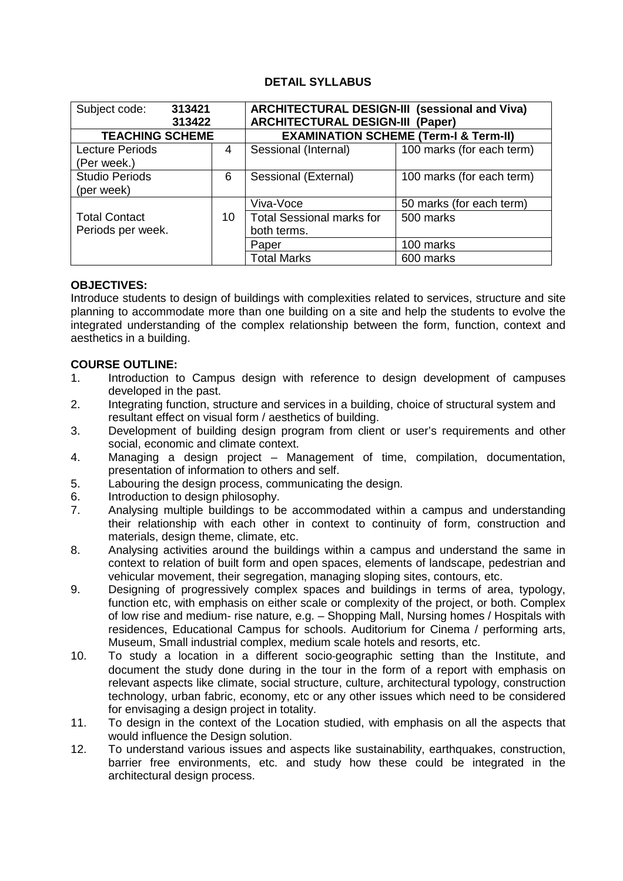### **DETAIL SYLLABUS**

| 313421<br>Subject code: |    | <b>ARCHITECTURAL DESIGN-III (sessional and Viva)</b> |                           |  |
|-------------------------|----|------------------------------------------------------|---------------------------|--|
| 313422                  |    | <b>ARCHITECTURAL DESIGN-III (Paper)</b>              |                           |  |
| <b>TEACHING SCHEME</b>  |    | <b>EXAMINATION SCHEME (Term-I &amp; Term-II)</b>     |                           |  |
| <b>Lecture Periods</b>  | 4  | Sessional (Internal)                                 | 100 marks (for each term) |  |
| (Per week.)             |    |                                                      |                           |  |
| <b>Studio Periods</b>   | 6  | Sessional (External)                                 | 100 marks (for each term) |  |
| (per week)              |    |                                                      |                           |  |
|                         |    | Viva-Voce                                            | 50 marks (for each term)  |  |
| <b>Total Contact</b>    | 10 | <b>Total Sessional marks for</b>                     | 500 marks                 |  |
| Periods per week.       |    | both terms.                                          |                           |  |
|                         |    | Paper                                                | 100 marks                 |  |
|                         |    | <b>Total Marks</b>                                   | 600 marks                 |  |

#### **OBJECTIVES:**

Introduce students to design of buildings with complexities related to services, structure and site planning to accommodate more than one building on a site and help the students to evolve the integrated understanding of the complex relationship between the form, function, context and aesthetics in a building.

#### **COURSE OUTLINE:**

- 1. Introduction to Campus design with reference to design development of campuses developed in the past.
- 2. Integrating function, structure and services in a building, choice of structural system and resultant effect on visual form / aesthetics of building.
- 3. Development of building design program from client or user's requirements and other social, economic and climate context.
- 4. Managing a design project Management of time, compilation, documentation, presentation of information to others and self.
- 5. Labouring the design process, communicating the design.
- 6. Introduction to design philosophy.
- 7. Analysing multiple buildings to be accommodated within a campus and understanding their relationship with each other in context to continuity of form, construction and materials, design theme, climate, etc.
- 8. Analysing activities around the buildings within a campus and understand the same in context to relation of built form and open spaces, elements of landscape, pedestrian and vehicular movement, their segregation, managing sloping sites, contours, etc.
- 9. Designing of progressively complex spaces and buildings in terms of area, typology, function etc, with emphasis on either scale or complexity of the project, or both. Complex of low rise and medium- rise nature, e.g. – Shopping Mall, Nursing homes / Hospitals with residences, Educational Campus for schools. Auditorium for Cinema / performing arts, Museum, Small industrial complex, medium scale hotels and resorts, etc.
- 10. To study a location in a different socio‐geographic setting than the Institute, and document the study done during in the tour in the form of a report with emphasis on relevant aspects like climate, social structure, culture, architectural typology, construction technology, urban fabric, economy, etc or any other issues which need to be considered for envisaging a design project in totality.
- 11. To design in the context of the Location studied, with emphasis on all the aspects that would influence the Design solution.
- 12. To understand various issues and aspects like sustainability, earthquakes, construction, barrier free environments, etc. and study how these could be integrated in the architectural design process.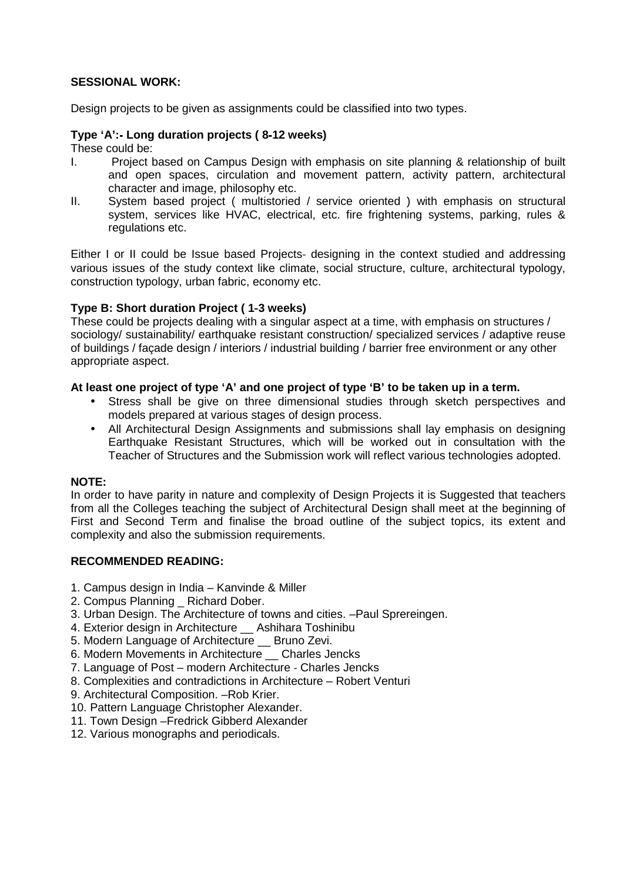#### **SESSIONAL WORK:**

Design projects to be given as assignments could be classified into two types.

#### **Type 'A':**‐ **Long duration projects ( 8**‐**12 weeks)**

These could be:

- I. Project based on Campus Design with emphasis on site planning & relationship of built and open spaces, circulation and movement pattern, activity pattern, architectural character and image, philosophy etc.
- II. System based project ( multistoried / service oriented ) with emphasis on structural system, services like HVAC, electrical, etc. fire frightening systems, parking, rules & regulations etc.

Either I or II could be Issue based Projects‐ designing in the context studied and addressing various issues of the study context like climate, social structure, culture, architectural typology, construction typology, urban fabric, economy etc.

#### **Type B: Short duration Project ( 1**‐**3 weeks)**

These could be projects dealing with a singular aspect at a time, with emphasis on structures / sociology/ sustainability/ earthquake resistant construction/ specialized services / adaptive reuse of buildings / façade design / interiors / industrial building / barrier free environment or any other appropriate aspect.

#### **At least one project of type 'A' and one project of type 'B' to be taken up in a term.**

- Stress shall be give on three dimensional studies through sketch perspectives and models prepared at various stages of design process.
- All Architectural Design Assignments and submissions shall lay emphasis on designing Earthquake Resistant Structures, which will be worked out in consultation with the Teacher of Structures and the Submission work will reflect various technologies adopted.

#### **NOTE:**

In order to have parity in nature and complexity of Design Projects it is Suggested that teachers from all the Colleges teaching the subject of Architectural Design shall meet at the beginning of First and Second Term and finalise the broad outline of the subject topics, its extent and complexity and also the submission requirements.

#### **RECOMMENDED READING:**

- 1. Campus design in India Kanvinde & Miller
- 2. Compus Planning Richard Dober.
- 3. Urban Design. The Architecture of towns and cities. –Paul Sprereingen.
- 4. Exterior design in Architecture \_\_ Ashihara Toshinibu
- 5. Modern Language of Architecture \_\_ Bruno Zevi.
- 6. Modern Movements in Architecture \_\_ Charles Jencks
- 7. Language of Post modern Architecture ‐ Charles Jencks
- 8. Complexities and contradictions in Architecture Robert Venturi
- 9. Architectural Composition. –Rob Krier.
- 10. Pattern Language Christopher Alexander.
- 11. Town Design –Fredrick Gibberd Alexander
- 12. Various monographs and periodicals.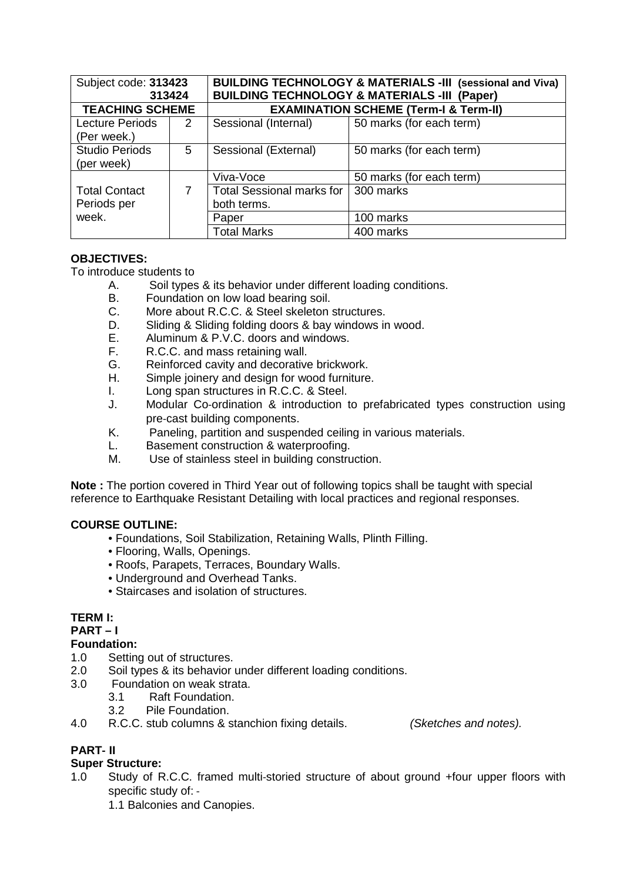| Subject code: 313423                | 313424 |                                                  | <b>BUILDING TECHNOLOGY &amp; MATERIALS -III (sessional and Viva)</b><br><b>BUILDING TECHNOLOGY &amp; MATERIALS -III (Paper)</b> |  |
|-------------------------------------|--------|--------------------------------------------------|---------------------------------------------------------------------------------------------------------------------------------|--|
| <b>TEACHING SCHEME</b>              |        | <b>EXAMINATION SCHEME (Term-I &amp; Term-II)</b> |                                                                                                                                 |  |
| Lecture Periods<br>(Per week.)      | 2      | Sessional (Internal)                             | 50 marks (for each term)                                                                                                        |  |
| <b>Studio Periods</b><br>(per week) | 5      | Sessional (External)                             | 50 marks (for each term)                                                                                                        |  |
|                                     |        | Viva-Voce                                        | 50 marks (for each term)                                                                                                        |  |
| <b>Total Contact</b><br>Periods per | 7      | <b>Total Sessional marks for</b><br>both terms.  | 300 marks                                                                                                                       |  |
| week.                               |        | Paper                                            | 100 marks                                                                                                                       |  |
|                                     |        | <b>Total Marks</b>                               | 400 marks                                                                                                                       |  |

# **OBJECTIVES:**

To introduce students to

- A. Soil types & its behavior under different loading conditions.
- B. Foundation on low load bearing soil.
- C. More about R.C.C. & Steel skeleton structures.
- D. Sliding & Sliding folding doors & bay windows in wood.<br>E. Aluminum & P.V.C. doors and windows.
- Aluminum & P.V.C. doors and windows.
- F. R.C.C. and mass retaining wall.
- G. Reinforced cavity and decorative brickwork.
- H. Simple joinery and design for wood furniture.
- I. Long span structures in R.C.C. & Steel.
- J. Modular Co-ordination & introduction to prefabricated types construction using pre‐cast building components.
- K. Paneling, partition and suspended ceiling in various materials.
- L. Basement construction & waterproofing.
- M. Use of stainless steel in building construction.

**Note :** The portion covered in Third Year out of following topics shall be taught with special reference to Earthquake Resistant Detailing with local practices and regional responses.

# **COURSE OUTLINE:**

- Foundations, Soil Stabilization, Retaining Walls, Plinth Filling.
- Flooring, Walls, Openings.
- Roofs, Parapets, Terraces, Boundary Walls.
- Underground and Overhead Tanks.
- Staircases and isolation of structures.

# **TERM I:**

#### **PART – I**

#### **Foundation:**

- 1.0 Setting out of structures.
- 2.0 Soil types & its behavior under different loading conditions.
- 3.0 Foundation on weak strata.
	- 3.1 Raft Foundation.
	- 3.2 Pile Foundation.
- 4.0 R.C.C. stub columns & stanchion fixing details. (Sketches and notes).

# **PART**‐ **II**

# **Super Structure:**

1.0 Study of R.C.C. framed multi‐storied structure of about ground +four upper floors with specific study of: ‐

1.1 Balconies and Canopies.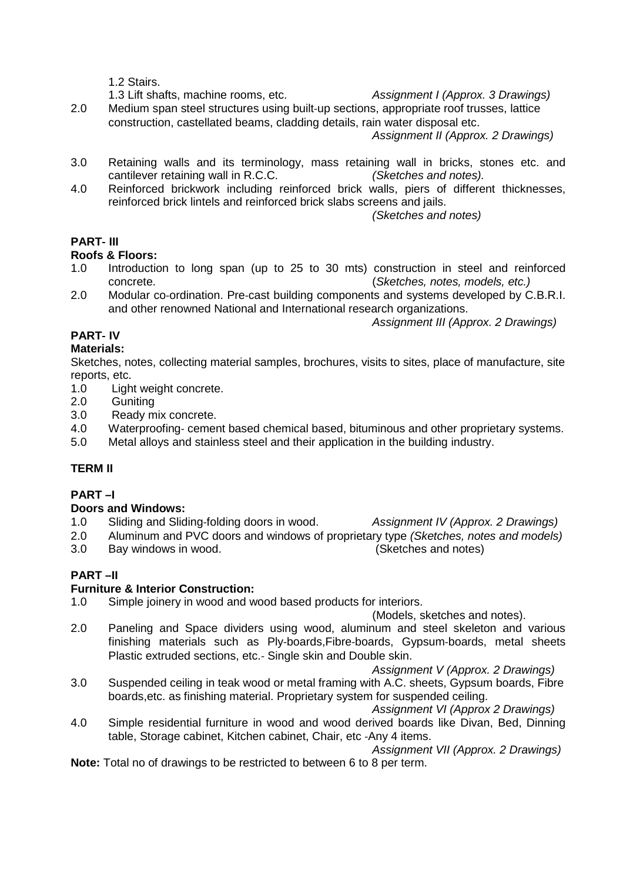1.2 Stairs.

1.3 Lift shafts, machine rooms, etc. Assignment I (Approx. 3 Drawings)

2.0 Medium span steel structures using built-up sections, appropriate roof trusses, lattice construction, castellated beams, cladding details, rain water disposal etc. Assignment II (Approx. 2 Drawings)

3.0 Retaining walls and its terminology, mass retaining wall in bricks, stones etc. and cantilever retaining wall in R.C.C. (Sketches and notes).

4.0 Reinforced brickwork including reinforced brick walls, piers of different thicknesses, reinforced brick lintels and reinforced brick slabs screens and jails.

(Sketches and notes)

# **PART**‐ **III**

### **Roofs & Floors:**

- 1.0 Introduction to long span (up to 25 to 30 mts) construction in steel and reinforced concrete. (Sketches, notes, models, etc.)
- 2.0 Modular co-ordination. Pre-cast building components and systems developed by C.B.R.I. and other renowned National and International research organizations.

Assignment III (Approx. 2 Drawings)

# **PART**‐ **IV**

#### **Materials:**

Sketches, notes, collecting material samples, brochures, visits to sites, place of manufacture, site reports, etc.

- 1.0 Light weight concrete.
- 2.0 Guniting
- 3.0 Ready mix concrete.
- 4.0 Waterproofing‐ cement based chemical based, bituminous and other proprietary systems.
- 5.0 Metal alloys and stainless steel and their application in the building industry.

# **TERM II**

# **PART –I**

#### **Doors and Windows:**

- 1.0 Sliding and Sliding-folding doors in wood. Assignment IV (Approx. 2 Drawings)
- 2.0 Aluminum and PVC doors and windows of proprietary type (Sketches, notes and models)
- 3.0 Bay windows in wood. (Sketches and notes)

# **PART –II**

#### **Furniture & Interior Construction:**

1.0 Simple joinery in wood and wood based products for interiors.

(Models, sketches and notes).

2.0 Paneling and Space dividers using wood, aluminum and steel skeleton and various finishing materials such as Ply-boards, Fibre-boards, Gypsum-boards, metal sheets Plastic extruded sections, etc.‐ Single skin and Double skin.

Assignment V (Approx. 2 Drawings)

3.0 Suspended ceiling in teak wood or metal framing with A.C. sheets, Gypsum boards, Fibre boards,etc. as finishing material. Proprietary system for suspended ceiling.

Assignment VI (Approx 2 Drawings)

4.0 Simple residential furniture in wood and wood derived boards like Divan, Bed, Dinning table, Storage cabinet, Kitchen cabinet, Chair, etc ‐Any 4 items.

Assignment VII (Approx. 2 Drawings)

**Note:** Total no of drawings to be restricted to between 6 to 8 per term.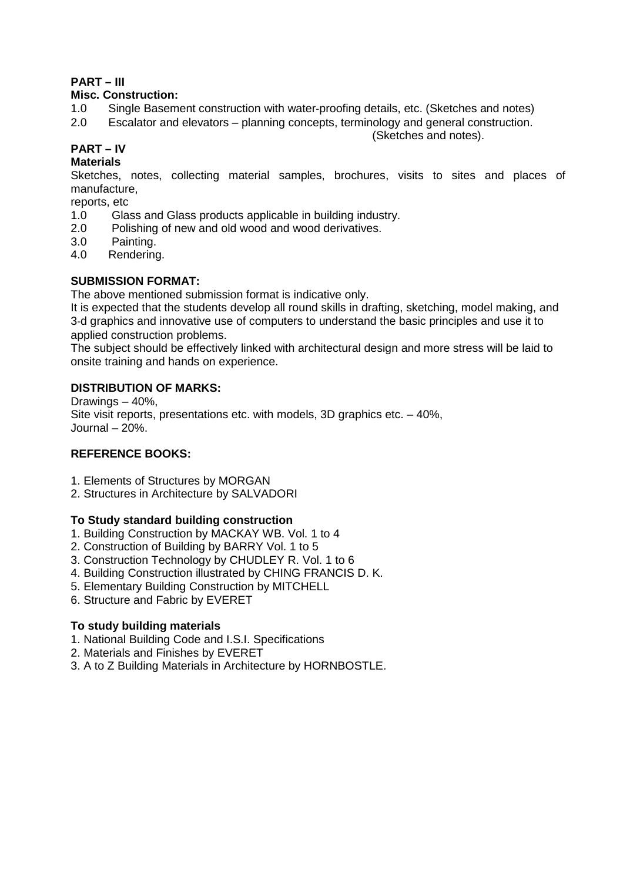# **PART – III**

### **Misc. Construction:**

- 1.0 Single Basement construction with water‐proofing details, etc. (Sketches and notes)
- 2.0 Escalator and elevators planning concepts, terminology and general construction.

(Sketches and notes).

# **PART – IV**

#### **Materials**

Sketches, notes, collecting material samples, brochures, visits to sites and places of manufacture,

reports, etc

- 1.0 Glass and Glass products applicable in building industry.
- 2.0 Polishing of new and old wood and wood derivatives.
- 3.0 Painting.
- 4.0 Rendering.

### **SUBMISSION FORMAT:**

The above mentioned submission format is indicative only.

It is expected that the students develop all round skills in drafting, sketching, model making, and 3‐d graphics and innovative use of computers to understand the basic principles and use it to applied construction problems.

The subject should be effectively linked with architectural design and more stress will be laid to onsite training and hands on experience.

### **DISTRIBUTION OF MARKS:**

Drawings – 40%, Site visit reports, presentations etc. with models, 3D graphics etc. – 40%, Journal – 20%.

#### **REFERENCE BOOKS:**

- 1. Elements of Structures by MORGAN
- 2. Structures in Architecture by SALVADORI

#### **To Study standard building construction**

- 1. Building Construction by MACKAY WB. Vol. 1 to 4
- 2. Construction of Building by BARRY Vol. 1 to 5
- 3. Construction Technology by CHUDLEY R. Vol. 1 to 6
- 4. Building Construction illustrated by CHING FRANCIS D. K.
- 5. Elementary Building Construction by MITCHELL
- 6. Structure and Fabric by EVERET

#### **To study building materials**

- 1. National Building Code and I.S.I. Specifications
- 2. Materials and Finishes by EVERET
- 3. A to Z Building Materials in Architecture by HORNBOSTLE.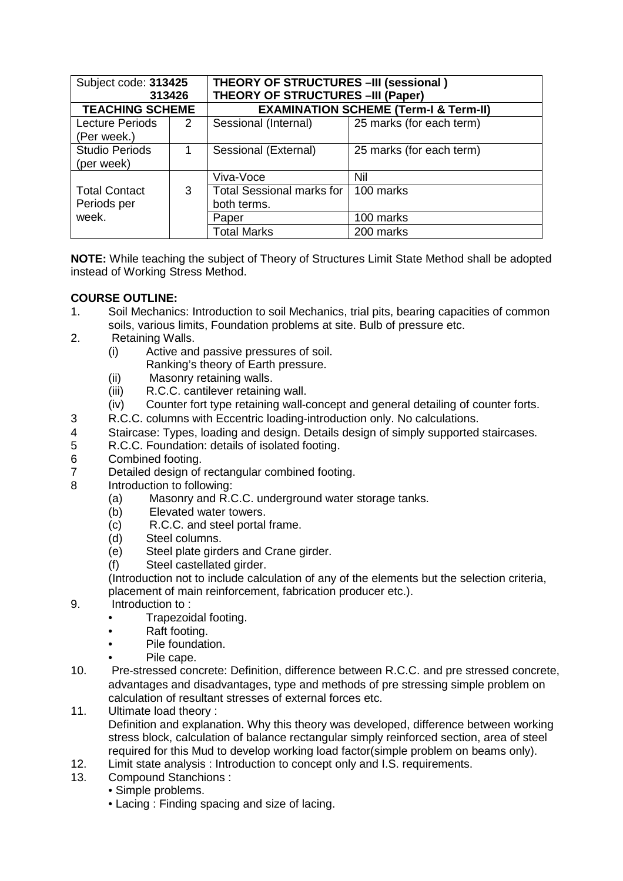| Subject code: 313425<br>313426        |   | <b>THEORY OF STRUCTURES -III (sessional)</b><br><b>THEORY OF STRUCTURES - III (Paper)</b> |                          |  |
|---------------------------------------|---|-------------------------------------------------------------------------------------------|--------------------------|--|
| <b>TEACHING SCHEME</b>                |   | <b>EXAMINATION SCHEME (Term-I &amp; Term-II)</b>                                          |                          |  |
| <b>Lecture Periods</b><br>(Per week.) | 2 | Sessional (Internal)                                                                      | 25 marks (for each term) |  |
| <b>Studio Periods</b><br>(per week)   | 1 | Sessional (External)                                                                      | 25 marks (for each term) |  |
|                                       |   | Viva-Voce                                                                                 | Nil                      |  |
| <b>Total Contact</b><br>Periods per   | 3 | Total Sessional marks for I<br>both terms.                                                | 100 marks                |  |
| week.                                 |   | Paper                                                                                     | 100 marks                |  |
|                                       |   | <b>Total Marks</b>                                                                        | 200 marks                |  |

**NOTE:** While teaching the subject of Theory of Structures Limit State Method shall be adopted instead of Working Stress Method.

### **COURSE OUTLINE:**

- 1. Soil Mechanics: Introduction to soil Mechanics, trial pits, bearing capacities of common soils, various limits, Foundation problems at site. Bulb of pressure etc.
- 2. Retaining Walls.
	- (i) Active and passive pressures of soil.
	- Ranking's theory of Earth pressure.
	- (ii) Masonry retaining walls.
	- (iii) R.C.C. cantilever retaining wall.
	- (iv) Counter fort type retaining wall‐concept and general detailing of counter forts.
- 3 R.C.C. columns with Eccentric loading‐introduction only. No calculations.
- 4 Staircase: Types, loading and design. Details design of simply supported staircases.<br>5 R.C.C. Foundation: details of isolated footing.
- 5 R.C.C. Foundation: details of isolated footing.
- 6 Combined footing.
- 7 Detailed design of rectangular combined footing.
- 8 Introduction to following:
	- (a) Masonry and R.C.C. underground water storage tanks.
	- (b) Elevated water towers.
	- (c) R.C.C. and steel portal frame.
	- (d) Steel columns.
	- (e) Steel plate girders and Crane girder.
	- (f) Steel castellated girder.

(Introduction not to include calculation of any of the elements but the selection criteria, placement of main reinforcement, fabrication producer etc.).

- 9. Introduction to :
	- Trapezoidal footing.
	- Raft footing.
	- Pile foundation.
	- Pile cape.
- 10. Pre‐stressed concrete: Definition, difference between R.C.C. and pre stressed concrete, advantages and disadvantages, type and methods of pre stressing simple problem on calculation of resultant stresses of external forces etc.
- 11. Ultimate load theory : Definition and explanation. Why this theory was developed, difference between working stress block, calculation of balance rectangular simply reinforced section, area of steel required for this Mud to develop working load factor(simple problem on beams only).
- 12. Limit state analysis : Introduction to concept only and I.S. requirements.
- 13. Compound Stanchions :
	- Simple problems.
	- Lacing : Finding spacing and size of lacing.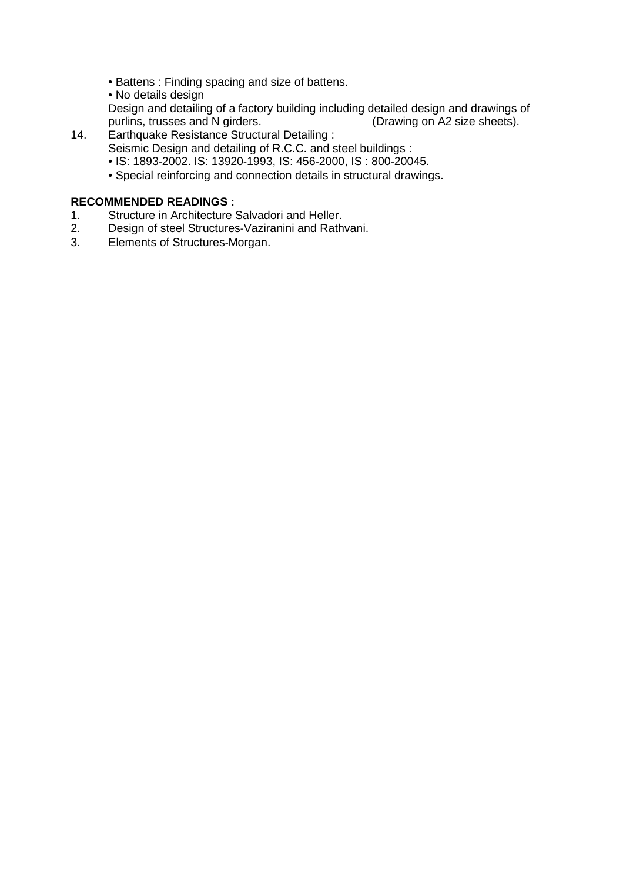- Battens : Finding spacing and size of battens.
- No details design

Design and detailing of a factory building including detailed design and drawings of purlins, trusses and N girders. (Drawing on A2 size sheets). purlins, trusses and N girders.

- 14. Earthquake Resistance Structural Detailing : Seismic Design and detailing of R.C.C. and steel buildings :
	- IS: 1893‐2002. IS: 13920‐1993, IS: 456‐2000, IS : 800‐20045.
	- Special reinforcing and connection details in structural drawings.

# **RECOMMENDED READINGS :**

- 1. Structure in Architecture Salvadori and Heller.<br>2. Design of steel Structures-Vaziranini and Rath
- 2. Design of steel Structures‐Vaziranini and Rathvani.
- 3. Elements of Structures‐Morgan.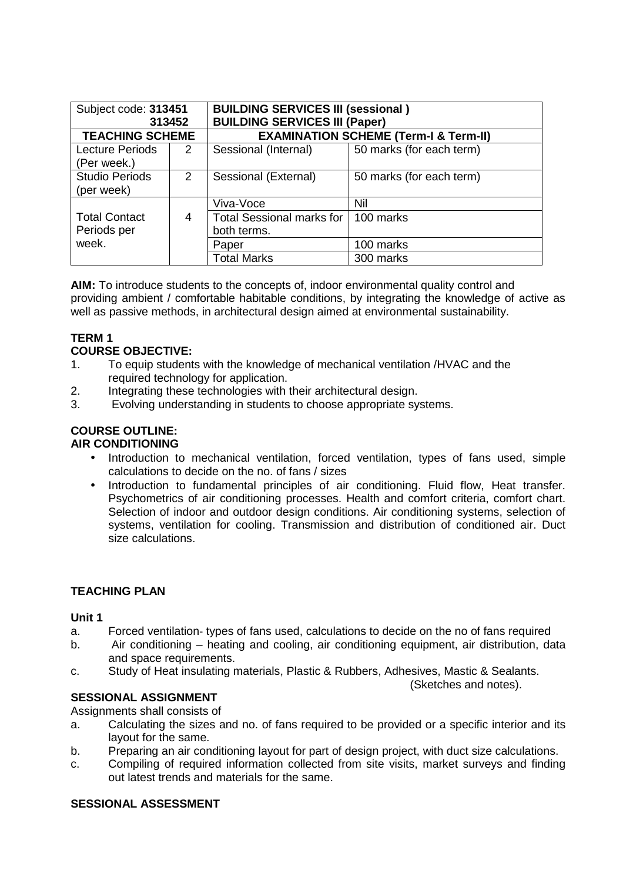| Subject code: 313451                  | 313452 | <b>BUILDING SERVICES III (sessional)</b><br><b>BUILDING SERVICES III (Paper)</b> |                          |  |
|---------------------------------------|--------|----------------------------------------------------------------------------------|--------------------------|--|
| <b>TEACHING SCHEME</b>                |        | <b>EXAMINATION SCHEME (Term-I &amp; Term-II)</b>                                 |                          |  |
| <b>Lecture Periods</b><br>(Per week.) | 2      | Sessional (Internal)                                                             | 50 marks (for each term) |  |
| <b>Studio Periods</b><br>(per week)   | 2      | Sessional (External)                                                             | 50 marks (for each term) |  |
|                                       |        | Viva-Voce                                                                        | Nil                      |  |
| <b>Total Contact</b><br>Periods per   | 4      | <b>Total Sessional marks for</b><br>both terms.                                  | 100 marks                |  |
| week.                                 |        | Paper                                                                            | 100 marks                |  |
|                                       |        | <b>Total Marks</b>                                                               | 300 marks                |  |

**AIM:** To introduce students to the concepts of, indoor environmental quality control and providing ambient / comfortable habitable conditions, by integrating the knowledge of active as well as passive methods, in architectural design aimed at environmental sustainability.

# **TERM 1**

### **COURSE OBJECTIVE:**

- 1. To equip students with the knowledge of mechanical ventilation /HVAC and the required technology for application.
- 2. Integrating these technologies with their architectural design.
- 3. Evolving understanding in students to choose appropriate systems.

# **COURSE OUTLINE:**

#### **AIR CONDITIONING**

- Introduction to mechanical ventilation, forced ventilation, types of fans used, simple calculations to decide on the no. of fans / sizes
- Introduction to fundamental principles of air conditioning. Fluid flow, Heat transfer. Psychometrics of air conditioning processes. Health and comfort criteria, comfort chart. Selection of indoor and outdoor design conditions. Air conditioning systems, selection of systems, ventilation for cooling. Transmission and distribution of conditioned air. Duct size calculations.

# **TEACHING PLAN**

#### **Unit 1**

- a. Forced ventilation‐ types of fans used, calculations to decide on the no of fans required
- b. Air conditioning heating and cooling, air conditioning equipment, air distribution, data and space requirements.
- c. Study of Heat insulating materials, Plastic & Rubbers, Adhesives, Mastic & Sealants.

(Sketches and notes).

# **SESSIONAL ASSIGNMENT**

Assignments shall consists of

- a. Calculating the sizes and no. of fans required to be provided or a specific interior and its layout for the same.
- b. Preparing an air conditioning layout for part of design project, with duct size calculations.
- c. Compiling of required information collected from site visits, market surveys and finding out latest trends and materials for the same.

#### **SESSIONAL ASSESSMENT**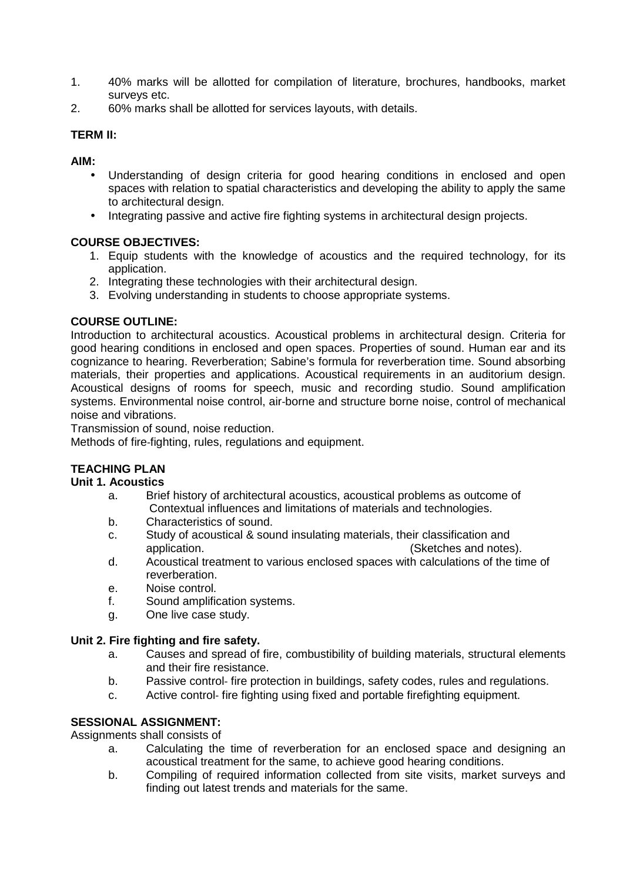- 1. 40% marks will be allotted for compilation of literature, brochures, handbooks, market surveys etc.
- 2. 60% marks shall be allotted for services layouts, with details.

### **TERM II:**

**AIM:** 

- Understanding of design criteria for good hearing conditions in enclosed and open spaces with relation to spatial characteristics and developing the ability to apply the same to architectural design.
- Integrating passive and active fire fighting systems in architectural design projects.

### **COURSE OBJECTIVES:**

- 1. Equip students with the knowledge of acoustics and the required technology, for its application.
- 2. Integrating these technologies with their architectural design.
- 3. Evolving understanding in students to choose appropriate systems.

### **COURSE OUTLINE:**

Introduction to architectural acoustics. Acoustical problems in architectural design. Criteria for good hearing conditions in enclosed and open spaces. Properties of sound. Human ear and its cognizance to hearing. Reverberation; Sabine's formula for reverberation time. Sound absorbing materials, their properties and applications. Acoustical requirements in an auditorium design. Acoustical designs of rooms for speech, music and recording studio. Sound amplification systems. Environmental noise control, air-borne and structure borne noise, control of mechanical noise and vibrations.

Transmission of sound, noise reduction.

Methods of fire‐fighting, rules, regulations and equipment.

# **TEACHING PLAN**

#### **Unit 1. Acoustics**

- a. Brief history of architectural acoustics, acoustical problems as outcome of Contextual influences and limitations of materials and technologies.
- b. Characteristics of sound.
- c. Study of acoustical & sound insulating materials, their classification and application. (Sketches and notes).
- d. Acoustical treatment to various enclosed spaces with calculations of the time of reverberation.
- e. Noise control.
- f. Sound amplification systems.
- g. One live case study.

#### **Unit 2. Fire fighting and fire safety.**

- a. Causes and spread of fire, combustibility of building materials, structural elements and their fire resistance.
- b. Passive control- fire protection in buildings, safety codes, rules and regulations.
- c. Active control‐ fire fighting using fixed and portable firefighting equipment.

#### **SESSIONAL ASSIGNMENT:**

Assignments shall consists of

- a. Calculating the time of reverberation for an enclosed space and designing an acoustical treatment for the same, to achieve good hearing conditions.
- b. Compiling of required information collected from site visits, market surveys and finding out latest trends and materials for the same.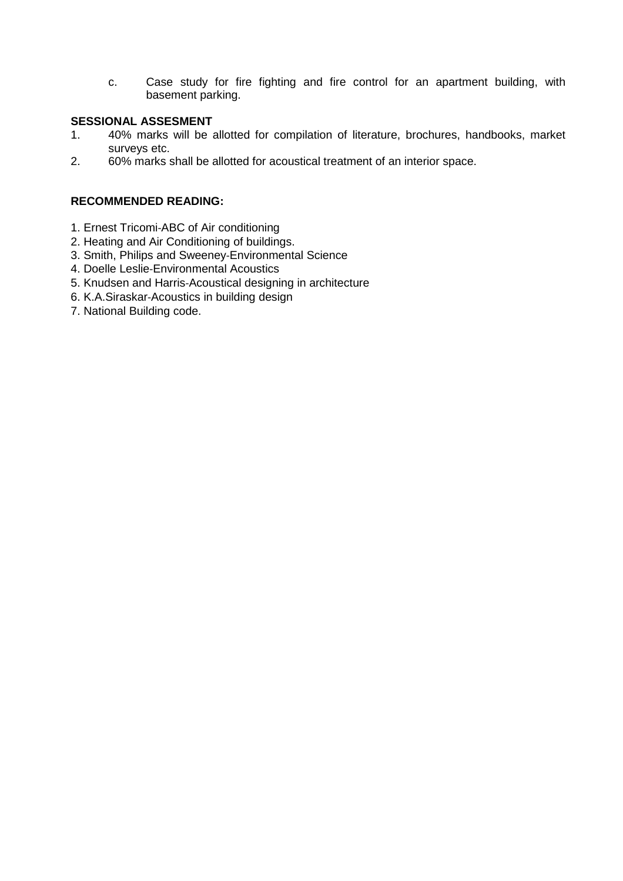c. Case study for fire fighting and fire control for an apartment building, with basement parking.

#### **SESSIONAL ASSESMENT**

- 1. 40% marks will be allotted for compilation of literature, brochures, handbooks, market surveys etc.
- 2. 60% marks shall be allotted for acoustical treatment of an interior space.

### **RECOMMENDED READING:**

- 1. Ernest Tricomi‐ABC of Air conditioning
- 2. Heating and Air Conditioning of buildings.
- 3. Smith, Philips and Sweeney‐Environmental Science
- 4. Doelle Leslie‐Environmental Acoustics
- 5. Knudsen and Harris‐Acoustical designing in architecture
- 6. K.A.Siraskar‐Acoustics in building design
- 7. National Building code.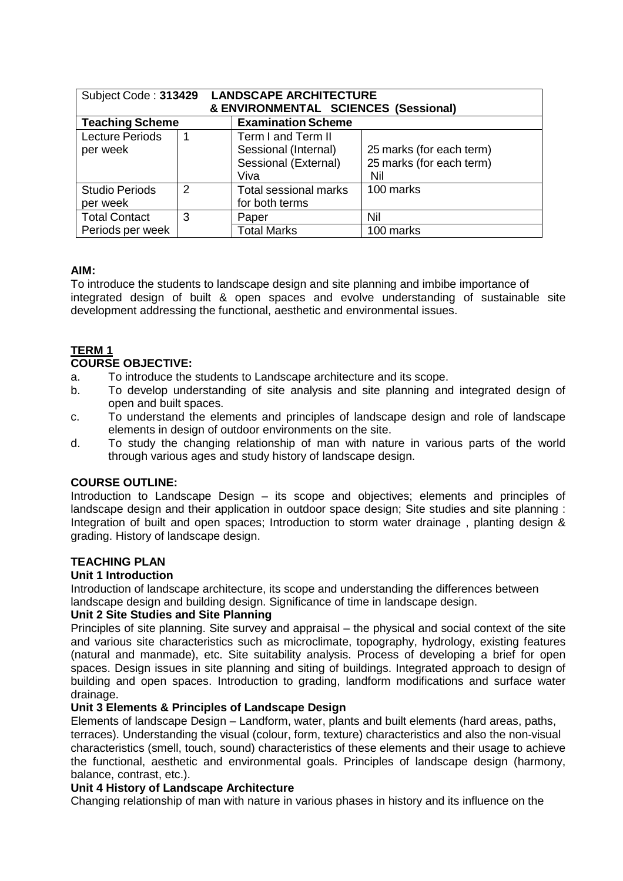| Subject Code: 313429                     |   | <b>LANDSCAPE ARCHITECTURE</b><br>& ENVIRONMENTAL SCIENCES (Sessional)      |                                                             |  |
|------------------------------------------|---|----------------------------------------------------------------------------|-------------------------------------------------------------|--|
| <b>Teaching Scheme</b>                   |   | <b>Examination Scheme</b>                                                  |                                                             |  |
| <b>Lecture Periods</b><br>1<br>per week  |   | Term I and Term II<br>Sessional (Internal)<br>Sessional (External)<br>Viva | 25 marks (for each term)<br>25 marks (for each term)<br>Nil |  |
| <b>Studio Periods</b><br>per week        | 2 | <b>Total sessional marks</b><br>for both terms                             | 100 marks                                                   |  |
| <b>Total Contact</b><br>Periods per week | 3 | Paper<br><b>Total Marks</b>                                                | Nil<br>100 marks                                            |  |

#### **AIM:**

To introduce the students to landscape design and site planning and imbibe importance of integrated design of built & open spaces and evolve understanding of sustainable site development addressing the functional, aesthetic and environmental issues.

# **TERM 1**

### **COURSE OBJECTIVE:**

- a. To introduce the students to Landscape architecture and its scope.
- b. To develop understanding of site analysis and site planning and integrated design of open and built spaces.
- c. To understand the elements and principles of landscape design and role of landscape elements in design of outdoor environments on the site.
- d. To study the changing relationship of man with nature in various parts of the world through various ages and study history of landscape design.

#### **COURSE OUTLINE:**

Introduction to Landscape Design – its scope and objectives; elements and principles of landscape design and their application in outdoor space design; Site studies and site planning : Integration of built and open spaces; Introduction to storm water drainage, planting design & grading. History of landscape design.

#### **TEACHING PLAN**

#### **Unit 1 Introduction**

Introduction of landscape architecture, its scope and understanding the differences between landscape design and building design. Significance of time in landscape design.

#### **Unit 2 Site Studies and Site Planning**

Principles of site planning. Site survey and appraisal – the physical and social context of the site and various site characteristics such as microclimate, topography, hydrology, existing features (natural and manmade), etc. Site suitability analysis. Process of developing a brief for open spaces. Design issues in site planning and siting of buildings. Integrated approach to design of building and open spaces. Introduction to grading, landform modifications and surface water drainage.

#### **Unit 3 Elements & Principles of Landscape Design**

Elements of landscape Design – Landform, water, plants and built elements (hard areas, paths, terraces). Understanding the visual (colour, form, texture) characteristics and also the non‐visual characteristics (smell, touch, sound) characteristics of these elements and their usage to achieve the functional, aesthetic and environmental goals. Principles of landscape design (harmony, balance, contrast, etc.).

#### **Unit 4 History of Landscape Architecture**

Changing relationship of man with nature in various phases in history and its influence on the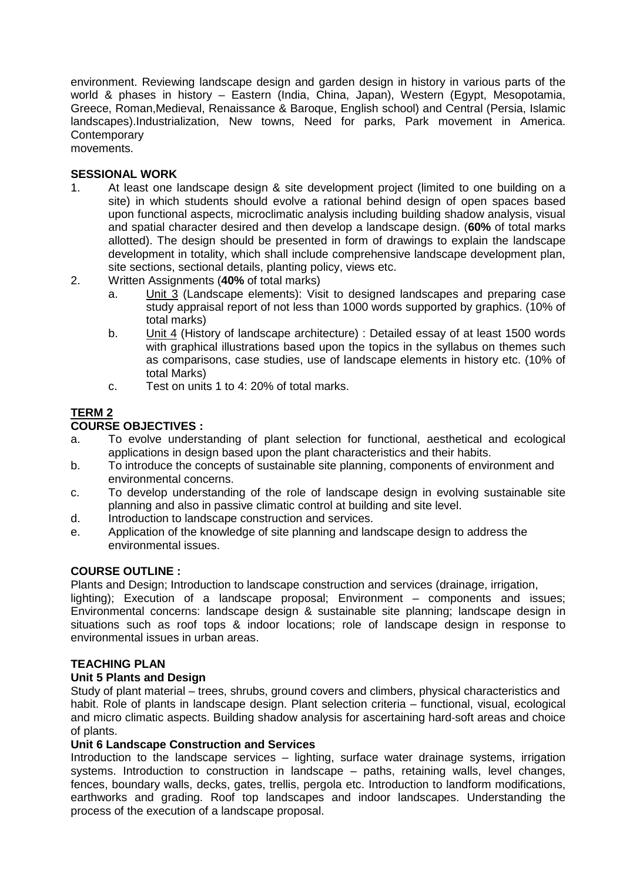environment. Reviewing landscape design and garden design in history in various parts of the world & phases in history – Eastern (India, China, Japan), Western (Egypt, Mesopotamia, Greece, Roman,Medieval, Renaissance & Baroque, English school) and Central (Persia, Islamic landscapes).Industrialization, New towns, Need for parks, Park movement in America. **Contemporary** movements.

#### **SESSIONAL WORK**

- 1. At least one landscape design & site development project (limited to one building on a site) in which students should evolve a rational behind design of open spaces based upon functional aspects, microclimatic analysis including building shadow analysis, visual and spatial character desired and then develop a landscape design. (**60%** of total marks allotted). The design should be presented in form of drawings to explain the landscape development in totality, which shall include comprehensive landscape development plan, site sections, sectional details, planting policy, views etc.
- 2. Written Assignments (**40%** of total marks)
	- a. Unit 3 (Landscape elements): Visit to designed landscapes and preparing case study appraisal report of not less than 1000 words supported by graphics. (10% of total marks)
	- b. Unit 4 (History of landscape architecture) : Detailed essay of at least 1500 words with graphical illustrations based upon the topics in the syllabus on themes such as comparisons, case studies, use of landscape elements in history etc. (10% of total Marks)
	- c. Test on units 1 to 4: 20% of total marks.

# **TERM 2**

#### **COURSE OBJECTIVES :**

- a. To evolve understanding of plant selection for functional, aesthetical and ecological applications in design based upon the plant characteristics and their habits.
- b. To introduce the concepts of sustainable site planning, components of environment and environmental concerns.
- c. To develop understanding of the role of landscape design in evolving sustainable site planning and also in passive climatic control at building and site level.
- d. Introduction to landscape construction and services.
- e. Application of the knowledge of site planning and landscape design to address the environmental issues.

#### **COURSE OUTLINE :**

Plants and Design; Introduction to landscape construction and services (drainage, irrigation, lighting); Execution of a landscape proposal; Environment – components and issues; Environmental concerns: landscape design & sustainable site planning; landscape design in situations such as roof tops & indoor locations; role of landscape design in response to environmental issues in urban areas.

#### **TEACHING PLAN**

#### **Unit 5 Plants and Design**

Study of plant material – trees, shrubs, ground covers and climbers, physical characteristics and habit. Role of plants in landscape design. Plant selection criteria – functional, visual, ecological and micro climatic aspects. Building shadow analysis for ascertaining hard‐soft areas and choice of plants.

#### **Unit 6 Landscape Construction and Services**

Introduction to the landscape services – lighting, surface water drainage systems, irrigation systems. Introduction to construction in landscape – paths, retaining walls, level changes, fences, boundary walls, decks, gates, trellis, pergola etc. Introduction to landform modifications, earthworks and grading. Roof top landscapes and indoor landscapes. Understanding the process of the execution of a landscape proposal.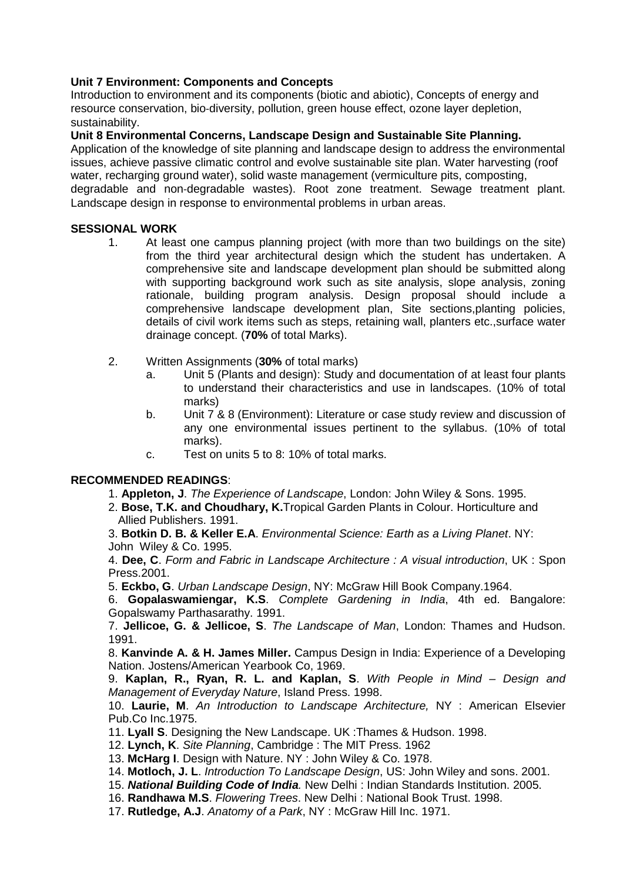### **Unit 7 Environment: Components and Concepts**

Introduction to environment and its components (biotic and abiotic), Concepts of energy and resource conservation, bio‐diversity, pollution, green house effect, ozone layer depletion, sustainability.

#### **Unit 8 Environmental Concerns, Landscape Design and Sustainable Site Planning.**

Application of the knowledge of site planning and landscape design to address the environmental issues, achieve passive climatic control and evolve sustainable site plan. Water harvesting (roof water, recharging ground water), solid waste management (vermiculture pits, composting, degradable and non‐degradable wastes). Root zone treatment. Sewage treatment plant. Landscape design in response to environmental problems in urban areas.

#### **SESSIONAL WORK**

- 1. At least one campus planning project (with more than two buildings on the site) from the third year architectural design which the student has undertaken. A comprehensive site and landscape development plan should be submitted along with supporting background work such as site analysis, slope analysis, zoning rationale, building program analysis. Design proposal should include a comprehensive landscape development plan, Site sections,planting policies, details of civil work items such as steps, retaining wall, planters etc.,surface water drainage concept. (**70%** of total Marks).
- 2. Written Assignments (**30%** of total marks)
	- a. Unit 5 (Plants and design): Study and documentation of at least four plants to understand their characteristics and use in landscapes. (10% of total marks)
	- b. Unit 7 & 8 (Environment): Literature or case study review and discussion of any one environmental issues pertinent to the syllabus. (10% of total marks).
	- c. Test on units 5 to 8: 10% of total marks.

#### **RECOMMENDED READINGS**:

- 1. **Appleton, J**. The Experience of Landscape, London: John Wiley & Sons. 1995.
- 2. **Bose, T.K. and Choudhary, K.**Tropical Garden Plants in Colour. Horticulture and Allied Publishers. 1991.

3. **Botkin D. B. & Keller E.A**. Environmental Science: Earth as a Living Planet. NY: John Wiley & Co. 1995.

4. **Dee, C**. Form and Fabric in Landscape Architecture : A visual introduction, UK : Spon Press.2001.

5. **Eckbo, G**. Urban Landscape Design, NY: McGraw Hill Book Company.1964.

6. **Gopalaswamiengar, K.S**. Complete Gardening in India, 4th ed. Bangalore: Gopalswamy Parthasarathy. 1991.

7. **Jellicoe, G. & Jellicoe, S**. The Landscape of Man, London: Thames and Hudson. 1991.

8. **Kanvinde A. & H. James Miller.** Campus Design in India: Experience of a Developing Nation. Jostens/American Yearbook Co, 1969.

9. **Kaplan, R., Ryan, R. L. and Kaplan, S**. With People in Mind – Design and Management of Everyday Nature, Island Press. 1998.

10. **Laurie, M**. An Introduction to Landscape Architecture, NY : American Elsevier Pub.Co Inc.1975.

11. **Lyall S**. Designing the New Landscape. UK :Thames & Hudson. 1998.

12. **Lynch, K**. Site Planning, Cambridge : The MIT Press. 1962

13. **McHarg I**. Design with Nature. NY : John Wiley & Co. 1978.

14. **Motloch, J. L**. Introduction To Landscape Design, US: John Wiley and sons. 2001.

- 15. **National Building Code of India**. New Delhi : Indian Standards Institution. 2005.
- 16. **Randhawa M.S**. Flowering Trees. New Delhi : National Book Trust. 1998.
- 17. **Rutledge, A.J**. Anatomy of a Park, NY : McGraw Hill Inc. 1971.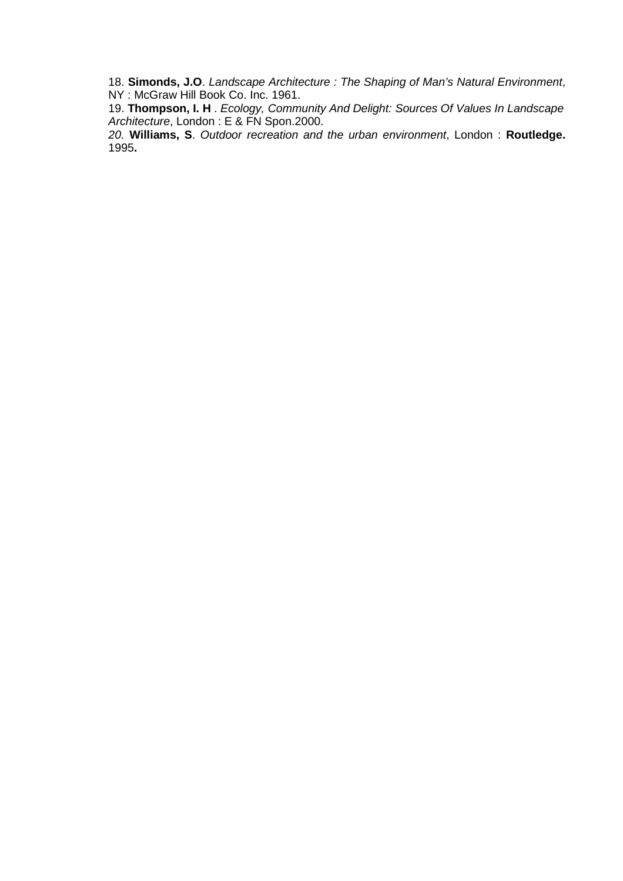18. **Simonds, J.O**. Landscape Architecture : The Shaping of Man's Natural Environment, NY : McGraw Hill Book Co. Inc. 1961.

19. **Thompson, I. H** . Ecology, Community And Delight: Sources Of Values In Landscape Architecture, London : E & FN Spon.2000.

20. **Williams, S**. Outdoor recreation and the urban environment, London : **Routledge.**  1995**.**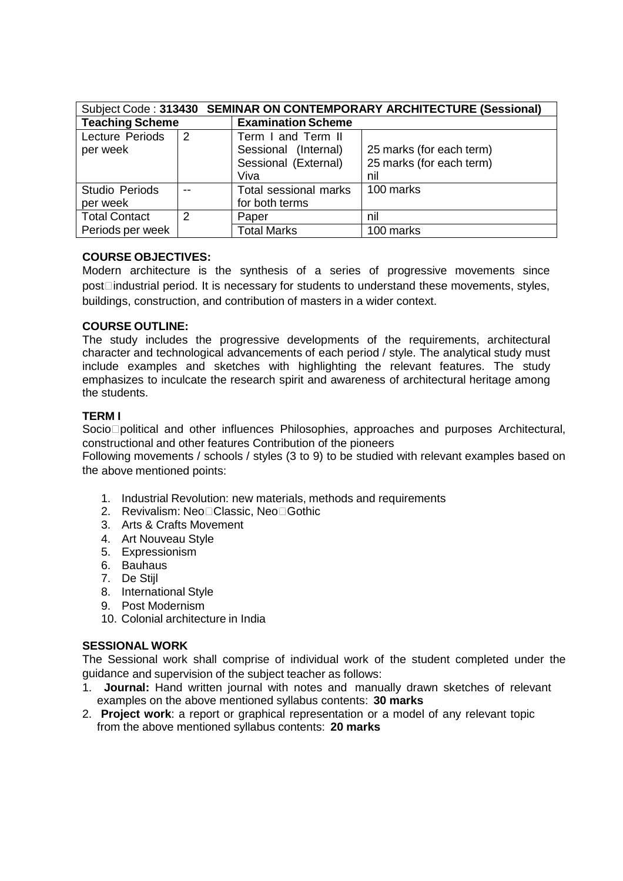|                        |               | Subject Code: 313430 SEMINAR ON CONTEMPORARY ARCHITECTURE (Sessional) |                          |  |
|------------------------|---------------|-----------------------------------------------------------------------|--------------------------|--|
| <b>Teaching Scheme</b> |               | <b>Examination Scheme</b>                                             |                          |  |
| Lecture Periods        | 2             | Term I and Term II                                                    |                          |  |
| per week               |               | Sessional (Internal)                                                  | 25 marks (for each term) |  |
|                        |               | Sessional (External)                                                  | 25 marks (for each term) |  |
|                        |               | Viva                                                                  | nil                      |  |
| <b>Studio Periods</b>  |               | Total sessional marks                                                 | 100 marks                |  |
| per week               |               | for both terms                                                        |                          |  |
| <b>Total Contact</b>   | $\mathcal{P}$ | Paper                                                                 | nil                      |  |
| Periods per week       |               | <b>Total Marks</b>                                                    | 100 marks                |  |

#### **COURSE OBJECTIVES:**

Modern architecture is the synthesis of a series of progressive movements since post industrial period. It is necessary for students to understand these movements, styles, buildings, construction, and contribution of masters in a wider context.

#### **COURSE OUTLINE:**

The study includes the progressive developments of the requirements, architectural character and technological advancements of each period / style. The analytical study must include examples and sketches with highlighting the relevant features. The study emphasizes to inculcate the research spirit and awareness of architectural heritage among the students.

### **TERM I**

Socio political and other influences Philosophies, approaches and purposes Architectural, constructional and other features Contribution of the pioneers

Following movements / schools / styles (3 to 9) to be studied with relevant examples based on the above mentioned points:

- 1. Industrial Revolution: new materials, methods and requirements
- 2. Revivalism: Neo Classic, Neo Gothic
- 3. Arts & Crafts Movement
- 4. Art Nouveau Style
- 5. Expressionism
- 6. Bauhaus
- 7. De Stijl
- 8. International Style
- 9. Post Modernism
- 10. Colonial architecture in India

#### **SESSIONAL WORK**

The Sessional work shall comprise of individual work of the student completed under the guidance and supervision of the subject teacher as follows:

- 1. **Journal:** Hand written journal with notes and manually drawn sketches of relevant examples on the above mentioned syllabus contents: **30 marks**
- 2. **Project work**: a report or graphical representation or a model of any relevant topic from the above mentioned syllabus contents: **20 marks**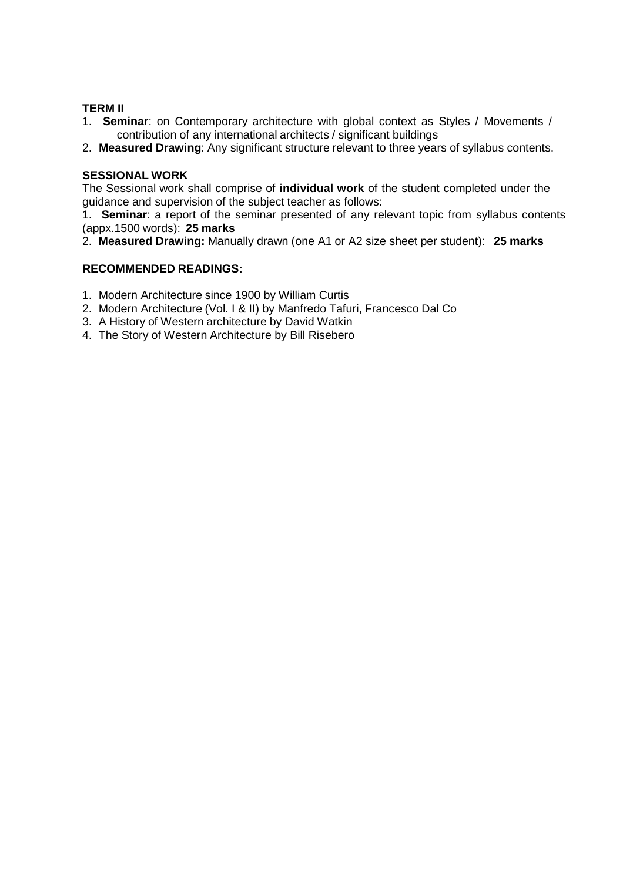#### **TERM II**

- 1. **Seminar**: on Contemporary architecture with global context as Styles / Movements / contribution of any international architects / significant buildings
- 2. **Measured Drawing**: Any significant structure relevant to three years of syllabus contents.

#### **SESSIONAL WORK**

The Sessional work shall comprise of **individual work** of the student completed under the guidance and supervision of the subject teacher as follows:

1. **Seminar**: a report of the seminar presented of any relevant topic from syllabus contents (appx.1500 words): **25 marks**

2. **Measured Drawing:** Manually drawn (one A1 or A2 size sheet per student): **25 marks**

#### **RECOMMENDED READINGS:**

- 1. Modern Architecture since 1900 by William Curtis
- 2. Modern Architecture (Vol. I & II) by Manfredo Tafuri, Francesco Dal Co
- 3. A History of Western architecture by David Watkin
- 4.The Story of Western Architecture by Bill Risebero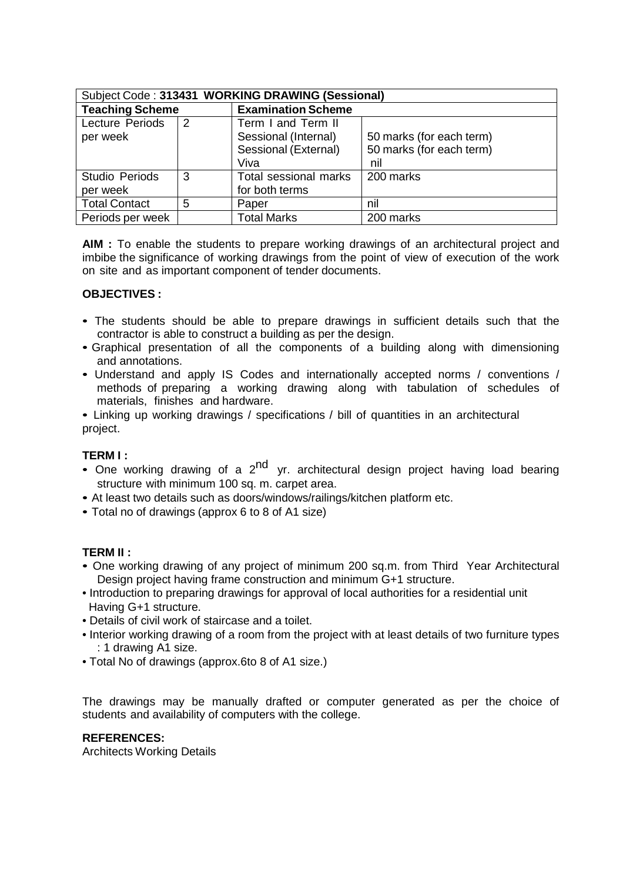| Subject Code: 313431 WORKING DRAWING (Sessional) |   |                           |                          |  |  |
|--------------------------------------------------|---|---------------------------|--------------------------|--|--|
| <b>Teaching Scheme</b>                           |   | <b>Examination Scheme</b> |                          |  |  |
| Lecture Periods                                  | 2 | Term I and Term II        |                          |  |  |
| per week                                         |   | Sessional (Internal)      | 50 marks (for each term) |  |  |
|                                                  |   | Sessional (External)      | 50 marks (for each term) |  |  |
|                                                  |   | Viva                      | nil                      |  |  |
| <b>Studio Periods</b>                            | 3 | Total sessional marks     | 200 marks                |  |  |
| per week                                         |   | for both terms            |                          |  |  |
| <b>Total Contact</b>                             | 5 | Paper                     | nil                      |  |  |
| Periods per week                                 |   | <b>Total Marks</b>        | 200 marks                |  |  |

**AIM :** To enable the students to prepare working drawings of an architectural project and imbibe the significance of working drawings from the point of view of execution of the work on site and as important component of tender documents.

#### **OBJECTIVES :**

- The students should be able to prepare drawings in sufficient details such that the contractor is able to construct a building as per the design.
- Graphical presentation of all the components of a building along with dimensioning and annotations.
- Understand and apply IS Codes and internationally accepted norms / conventions / methods of preparing a working drawing along with tabulation of schedules of materials, finishes and hardware.
- Linking up working drawings / specifications / bill of quantities in an architectural project.

#### **TERM I :**

- One working drawing of a  $2^{nd}$  yr. architectural design project having load bearing structure with minimum 100 sq. m. carpet area.
- At least two details such as doors/windows/railings/kitchen platform etc.
- Total no of drawings (approx 6 to 8 of A1 size)

#### **TERM II :**

- One working drawing of any project of minimum 200 sq.m. from Third Year Architectural Design project having frame construction and minimum G+1 structure.
- Introduction to preparing drawings for approval of local authorities for a residential unit Having G+1 structure.
- Details of civil work of staircase and a toilet.
- Interior working drawing of a room from the project with at least details of two furniture types : 1 drawing A1 size.
- Total No of drawings (approx.6to 8 of A1 size.)

The drawings may be manually drafted or computer generated as per the choice of students and availability of computers with the college.

### **REFERENCES:**

Architects Working Details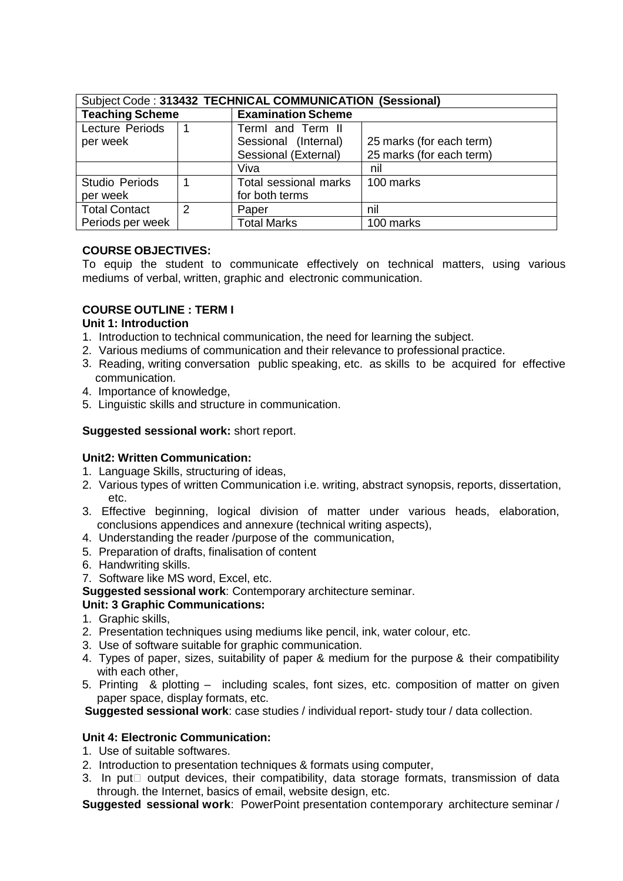| Subject Code: 313432 TECHNICAL COMMUNICATION (Sessional) |               |                           |                          |  |  |
|----------------------------------------------------------|---------------|---------------------------|--------------------------|--|--|
| <b>Teaching Scheme</b>                                   |               | <b>Examination Scheme</b> |                          |  |  |
| Lecture Periods                                          |               | TermI and Term II         |                          |  |  |
| per week                                                 |               | Sessional (Internal)      | 25 marks (for each term) |  |  |
|                                                          |               | Sessional (External)      | 25 marks (for each term) |  |  |
|                                                          |               | Viva                      | nil                      |  |  |
| Studio Periods                                           |               | Total sessional marks     | 100 marks                |  |  |
| per week                                                 |               | for both terms            |                          |  |  |
| <b>Total Contact</b>                                     | $\mathcal{P}$ | Paper                     | nil                      |  |  |
| Periods per week                                         |               | <b>Total Marks</b>        | 100 marks                |  |  |

### **COURSE OBJECTIVES:**

To equip the student to communicate effectively on technical matters, using various mediums of verbal, written, graphic and electronic communication.

### **COURSE OUTLINE : TERM I**

#### **Unit 1: Introduction**

- 1. Introduction to technical communication, the need for learning the subject.
- 2. Various mediums of communication and their relevance to professional practice.
- 3. Reading, writing conversation public speaking, etc. as skills to be acquired for effective communication.
- 4. Importance of knowledge,
- 5. Linguistic skills and structure in communication.

#### **Suggested sessional work:** short report.

#### **Unit2: Written Communication:**

- 1. Language Skills, structuring of ideas,
- 2. Various types of written Communication i.e. writing, abstract synopsis, reports, dissertation, etc.
- 3. Effective beginning, logical division of matter under various heads, elaboration, conclusions appendices and annexure (technical writing aspects),
- 4. Understanding the reader /purpose of the communication,
- 5. Preparation of drafts, finalisation of content
- 6. Handwriting skills.
- 7. Software like MS word, Excel, etc.

**Suggested sessional work**: Contemporary architecture seminar.

#### **Unit: 3 Graphic Communications:**

- 1. Graphic skills,
- 2. Presentation techniques using mediums like pencil, ink, water colour, etc.
- 3. Use of software suitable for graphic communication.
- 4. Types of paper, sizes, suitability of paper & medium for the purpose & their compatibility with each other.
- 5. Printing & plotting including scales, font sizes, etc. composition of matter on given paper space, display formats, etc.

**Suggested sessional work**: case studies / individual report- study tour / data collection.

#### **Unit 4: Electronic Communication:**

- 1. Use of suitable softwares.
- 2. Introduction to presentation techniques & formats using computer,
- 3. In put output devices, their compatibility, data storage formats, transmission of data through. the Internet, basics of email, website design, etc.

**Suggested sessional work**: PowerPoint presentation contemporary architecture seminar /